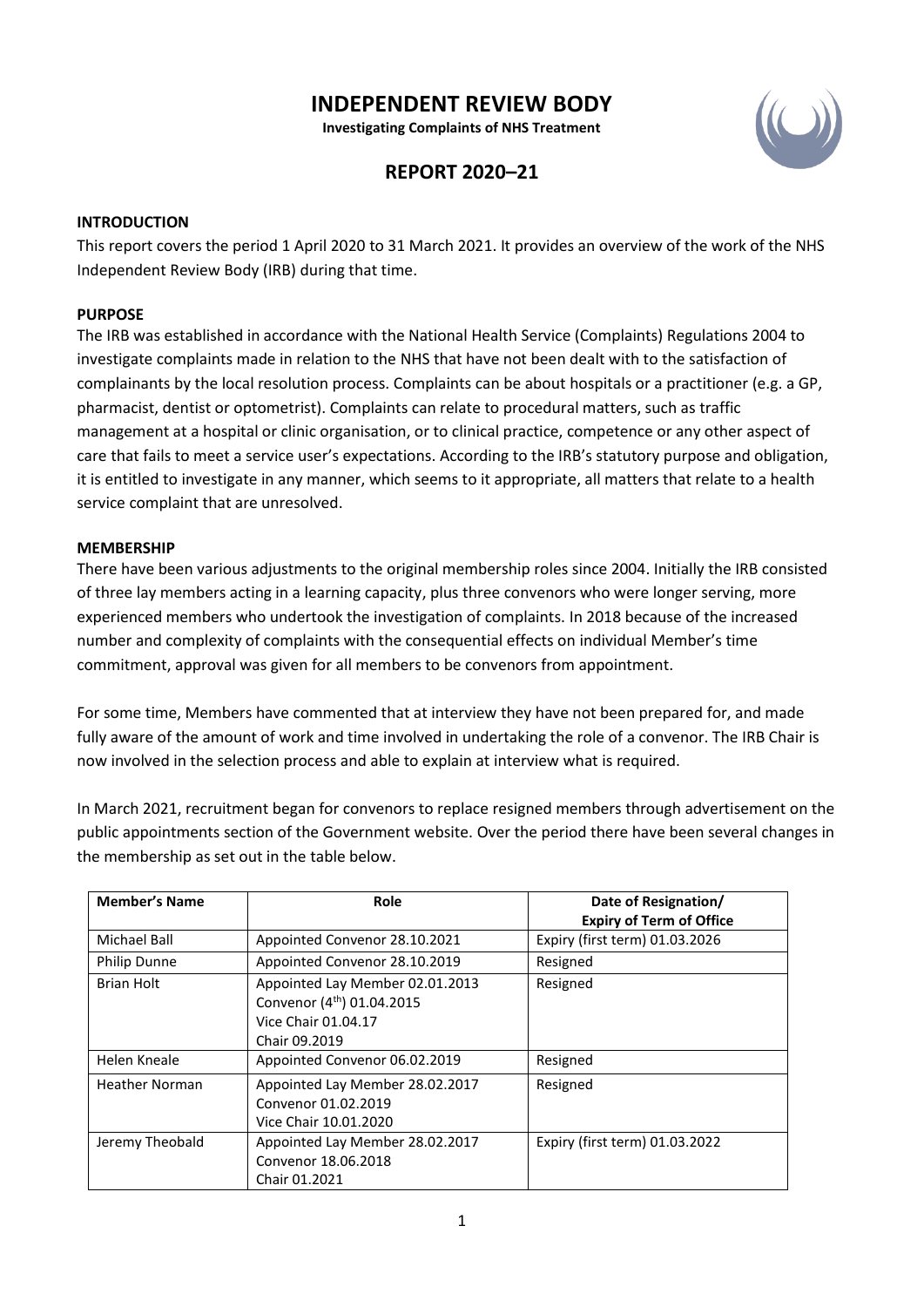# **INDEPENDENT REVIEW BODY**

**Investigating Complaints of NHS Treatment**



## **REPORT 2020–21**

### **INTRODUCTION**

This report covers the period 1 April 2020 to 31 March 2021. It provides an overview of the work of the NHS Independent Review Body (IRB) during that time.

#### **PURPOSE**

The IRB was established in accordance with the National Health Service (Complaints) Regulations 2004 to investigate complaints made in relation to the NHS that have not been dealt with to the satisfaction of complainants by the local resolution process. Complaints can be about hospitals or a practitioner (e.g. a GP, pharmacist, dentist or optometrist). Complaints can relate to procedural matters, such as traffic management at a hospital or clinic organisation, or to clinical practice, competence or any other aspect of care that fails to meet a service user's expectations. According to the IRB's statutory purpose and obligation, it is entitled to investigate in any manner, which seems to it appropriate, all matters that relate to a health service complaint that are unresolved.

#### **MEMBERSHIP**

There have been various adjustments to the original membership roles since 2004. Initially the IRB consisted of three lay members acting in a learning capacity, plus three convenors who were longer serving, more experienced members who undertook the investigation of complaints. In 2018 because of the increased number and complexity of complaints with the consequential effects on individual Member's time commitment, approval was given for all members to be convenors from appointment.

For some time, Members have commented that at interview they have not been prepared for, and made fully aware of the amount of work and time involved in undertaking the role of a convenor. The IRB Chair is now involved in the selection process and able to explain at interview what is required.

In March 2021, recruitment began for convenors to replace resigned members through advertisement on the public appointments section of the Government website. Over the period there have been several changes in the membership as set out in the table below.

| <b>Member's Name</b>  | Role                                                                                                              | Date of Resignation/<br><b>Expiry of Term of Office</b> |
|-----------------------|-------------------------------------------------------------------------------------------------------------------|---------------------------------------------------------|
| Michael Ball          | Appointed Convenor 28.10.2021                                                                                     | Expiry (first term) 01.03.2026                          |
| <b>Philip Dunne</b>   | Appointed Convenor 28.10.2019                                                                                     | Resigned                                                |
| Brian Holt            | Appointed Lay Member 02.01.2013<br>Convenor (4 <sup>th</sup> ) 01.04.2015<br>Vice Chair 01.04.17<br>Chair 09.2019 | Resigned                                                |
| Helen Kneale          | Appointed Convenor 06.02.2019                                                                                     | Resigned                                                |
| <b>Heather Norman</b> | Appointed Lay Member 28.02.2017<br>Convenor 01.02.2019<br>Vice Chair 10.01.2020                                   | Resigned                                                |
| Jeremy Theobald       | Appointed Lay Member 28.02.2017<br>Convenor 18.06.2018<br>Chair 01.2021                                           | Expiry (first term) 01.03.2022                          |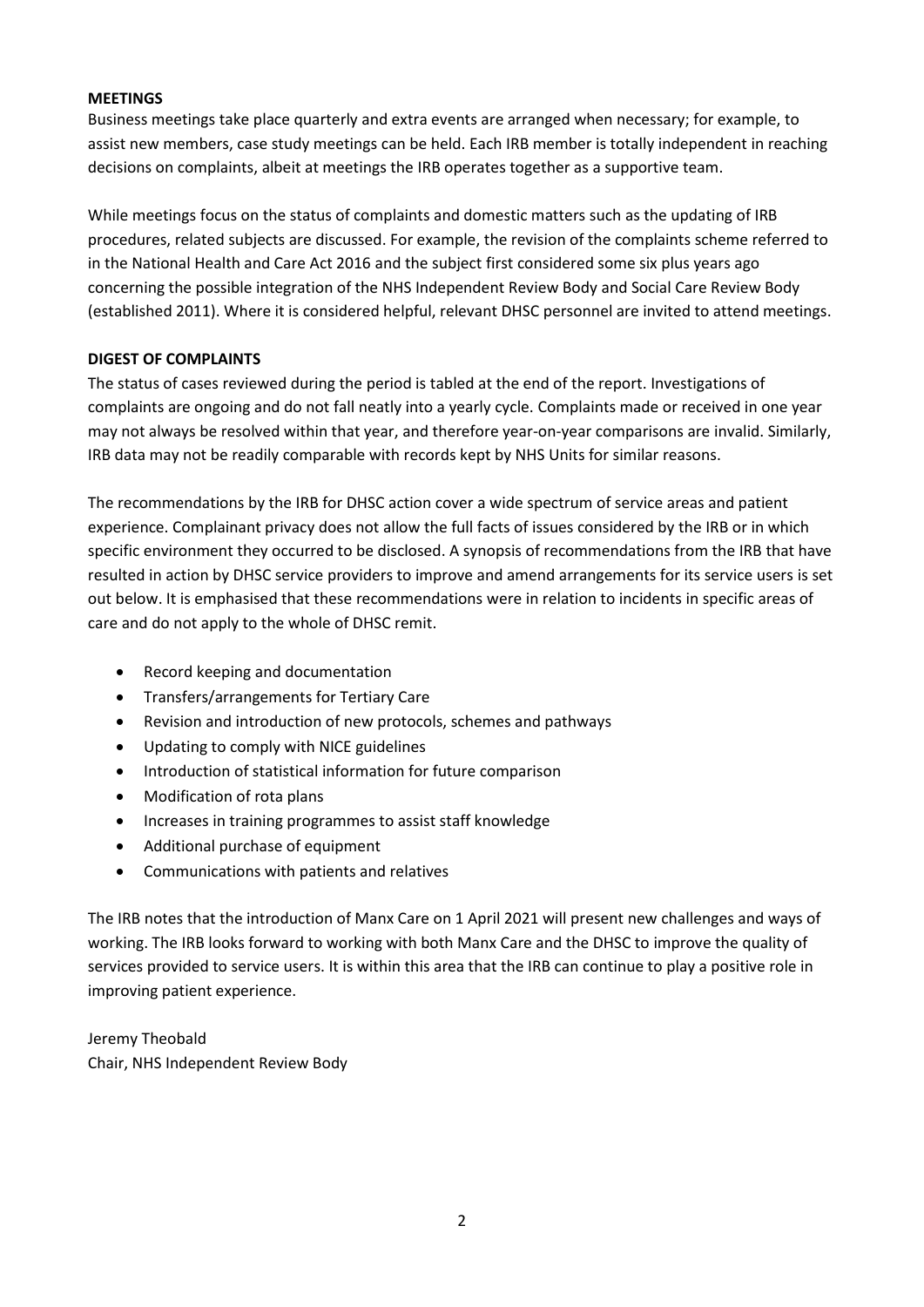## **MEETINGS**

Business meetings take place quarterly and extra events are arranged when necessary; for example, to assist new members, case study meetings can be held. Each IRB member is totally independent in reaching decisions on complaints, albeit at meetings the IRB operates together as a supportive team.

While meetings focus on the status of complaints and domestic matters such as the updating of IRB procedures, related subjects are discussed. For example, the revision of the complaints scheme referred to in the National Health and Care Act 2016 and the subject first considered some six plus years ago concerning the possible integration of the NHS Independent Review Body and Social Care Review Body (established 2011). Where it is considered helpful, relevant DHSC personnel are invited to attend meetings.

## **DIGEST OF COMPLAINTS**

The status of cases reviewed during the period is tabled at the end of the report. Investigations of complaints are ongoing and do not fall neatly into a yearly cycle. Complaints made or received in one year may not always be resolved within that year, and therefore year-on-year comparisons are invalid. Similarly, IRB data may not be readily comparable with records kept by NHS Units for similar reasons.

The recommendations by the IRB for DHSC action cover a wide spectrum of service areas and patient experience. Complainant privacy does not allow the full facts of issues considered by the IRB or in which specific environment they occurred to be disclosed. A synopsis of recommendations from the IRB that have resulted in action by DHSC service providers to improve and amend arrangements for its service users is set out below. It is emphasised that these recommendations were in relation to incidents in specific areas of care and do not apply to the whole of DHSC remit.

- Record keeping and documentation
- Transfers/arrangements for Tertiary Care
- Revision and introduction of new protocols, schemes and pathways
- Updating to comply with NICE guidelines
- Introduction of statistical information for future comparison
- Modification of rota plans
- Increases in training programmes to assist staff knowledge
- Additional purchase of equipment
- Communications with patients and relatives

The IRB notes that the introduction of Manx Care on 1 April 2021 will present new challenges and ways of working. The IRB looks forward to working with both Manx Care and the DHSC to improve the quality of services provided to service users. It is within this area that the IRB can continue to play a positive role in improving patient experience.

Jeremy Theobald Chair, NHS Independent Review Body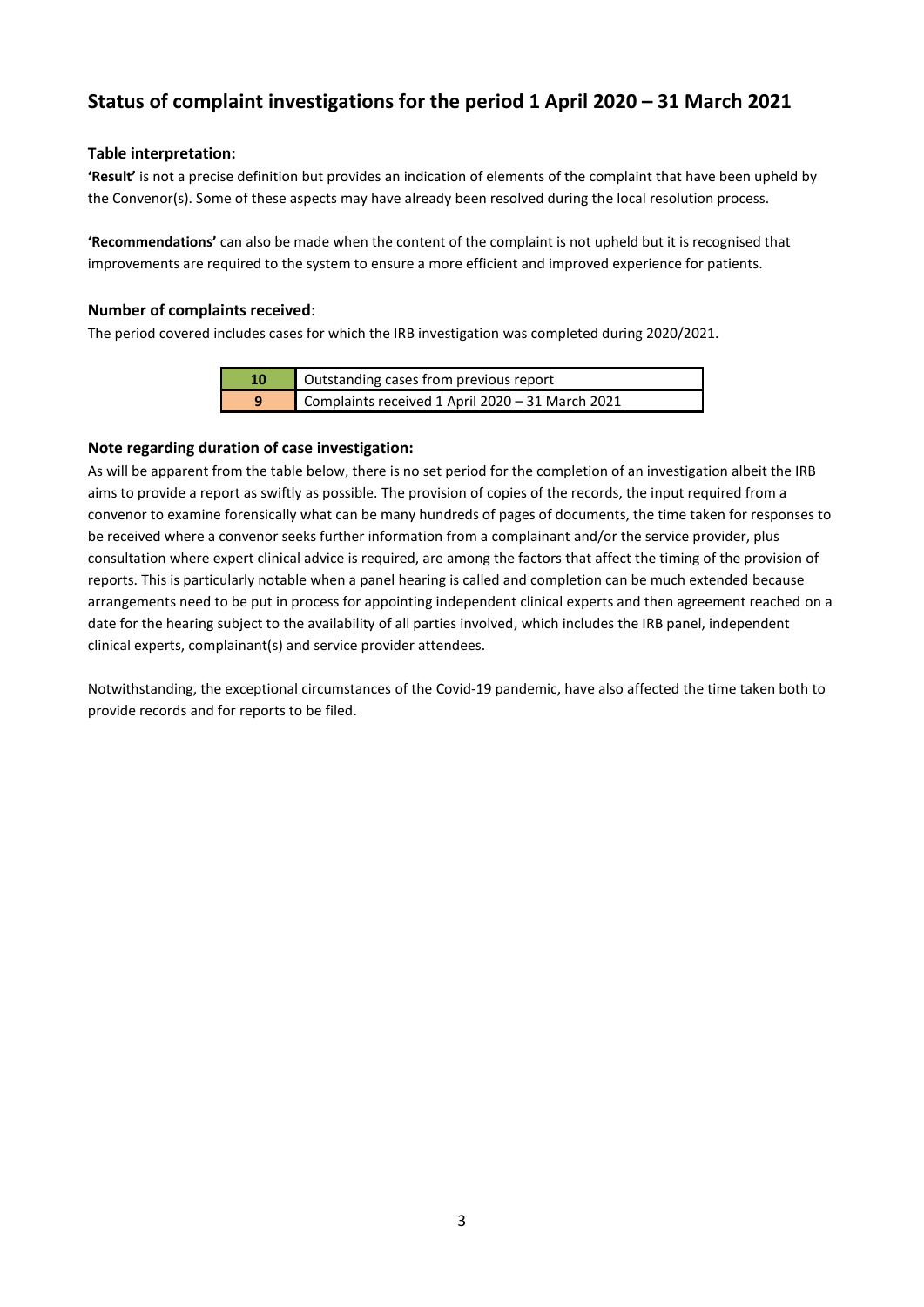# **Status of complaint investigations for the period 1 April 2020 – 31 March 2021**

## **Table interpretation:**

**'Result'** is not a precise definition but provides an indication of elements of the complaint that have been upheld by the Convenor(s). Some of these aspects may have already been resolved during the local resolution process.

**'Recommendations'** can also be made when the content of the complaint is not upheld but it is recognised that improvements are required to the system to ensure a more efficient and improved experience for patients.

### **Number of complaints received**:

The period covered includes cases for which the IRB investigation was completed during 2020/2021.

| 10 | Outstanding cases from previous report           |
|----|--------------------------------------------------|
| q  | Complaints received 1 April 2020 - 31 March 2021 |

## **Note regarding duration of case investigation:**

As will be apparent from the table below, there is no set period for the completion of an investigation albeit the IRB aims to provide a report as swiftly as possible. The provision of copies of the records, the input required from a convenor to examine forensically what can be many hundreds of pages of documents, the time taken for responses to be received where a convenor seeks further information from a complainant and/or the service provider, plus consultation where expert clinical advice is required, are among the factors that affect the timing of the provision of reports. This is particularly notable when a panel hearing is called and completion can be much extended because arrangements need to be put in process for appointing independent clinical experts and then agreement reached on a date for the hearing subject to the availability of all parties involved, which includes the IRB panel, independent clinical experts, complainant(s) and service provider attendees.

Notwithstanding, the exceptional circumstances of the Covid-19 pandemic, have also affected the time taken both to provide records and for reports to be filed.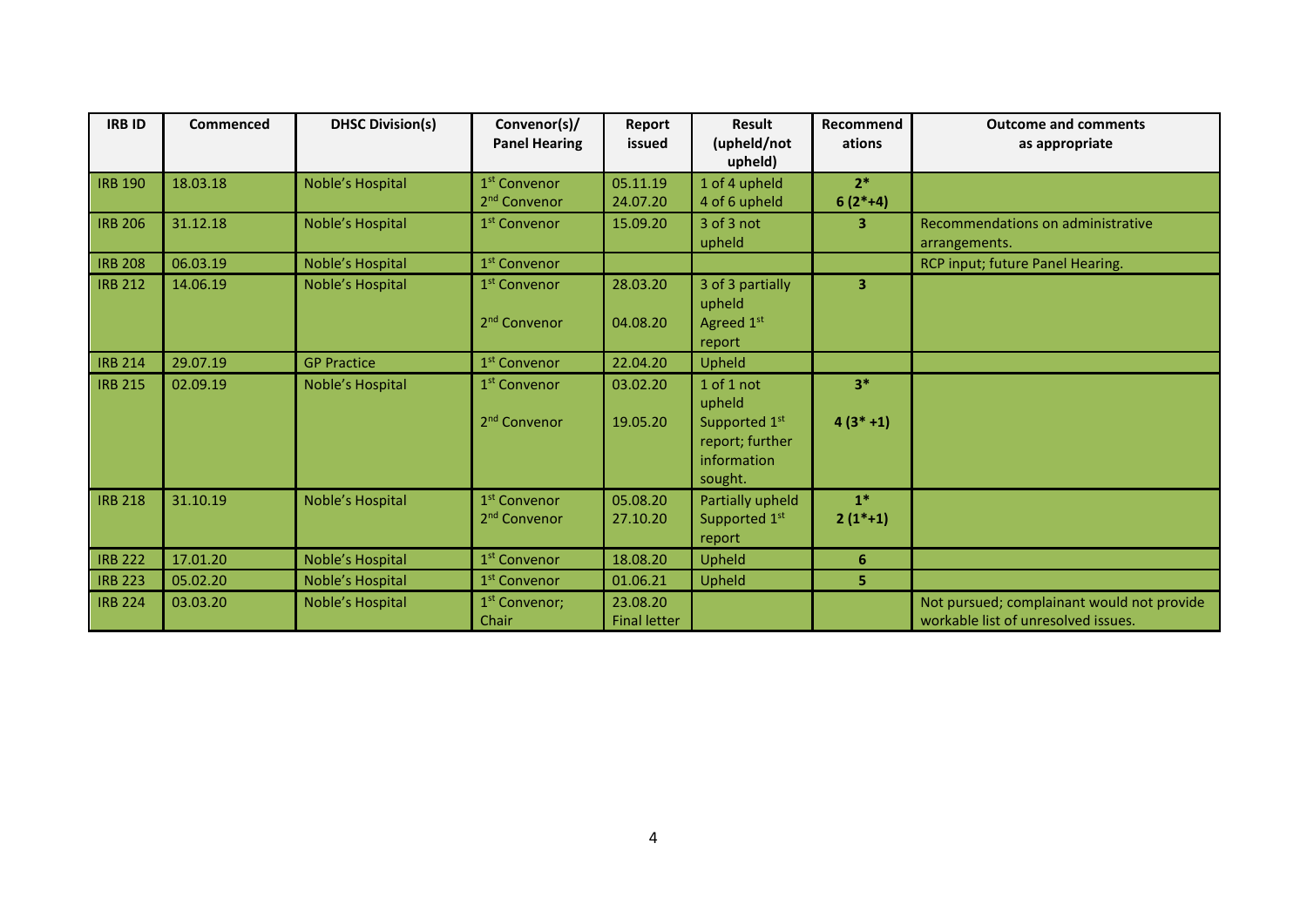| <b>IRB ID</b>  | Commenced | <b>DHSC Division(s)</b> | Convenor(s)/<br><b>Panel Hearing</b>                 | Report<br>issued                | <b>Result</b><br>(upheld/not<br>upheld)                                            | Recommend<br>ations  | <b>Outcome and comments</b><br>as appropriate                                     |
|----------------|-----------|-------------------------|------------------------------------------------------|---------------------------------|------------------------------------------------------------------------------------|----------------------|-----------------------------------------------------------------------------------|
| <b>IRB 190</b> | 18.03.18  | Noble's Hospital        | 1 <sup>st</sup> Convenor<br>2 <sup>nd</sup> Convenor | 05.11.19<br>24.07.20            | 1 of 4 upheld<br>4 of 6 upheld                                                     | $2*$<br>$6(2*+4)$    |                                                                                   |
| <b>IRB 206</b> | 31.12.18  | Noble's Hospital        | 1 <sup>st</sup> Convenor                             | 15.09.20                        | 3 of 3 not<br>upheld                                                               | 3                    | Recommendations on administrative<br>arrangements.                                |
| <b>IRB 208</b> | 06.03.19  | Noble's Hospital        | 1 <sup>st</sup> Convenor                             |                                 |                                                                                    |                      | RCP input; future Panel Hearing.                                                  |
| <b>IRB 212</b> | 14.06.19  | Noble's Hospital        | 1 <sup>st</sup> Convenor<br>2 <sup>nd</sup> Convenor | 28.03.20<br>04.08.20            | 3 of 3 partially<br>upheld<br>Agreed 1st<br>report                                 | 3                    |                                                                                   |
| <b>IRB 214</b> | 29.07.19  | <b>GP Practice</b>      | 1 <sup>st</sup> Convenor                             | 22.04.20                        | Upheld                                                                             |                      |                                                                                   |
| <b>IRB 215</b> | 02.09.19  | Noble's Hospital        | 1 <sup>st</sup> Convenor<br>2 <sup>nd</sup> Convenor | 03.02.20<br>19.05.20            | 1 of 1 not<br>upheld<br>Supported 1st<br>report; further<br>information<br>sought. | $3*$<br>$4(3^*+1)$   |                                                                                   |
| <b>IRB 218</b> | 31.10.19  | Noble's Hospital        | 1 <sup>st</sup> Convenor<br>2 <sup>nd</sup> Convenor | 05.08.20<br>27.10.20            | Partially upheld<br>Supported 1st<br>report                                        | $1*$<br>$2(1^{*}+1)$ |                                                                                   |
| <b>IRB 222</b> | 17.01.20  | Noble's Hospital        | 1 <sup>st</sup> Convenor                             | 18.08.20                        | Upheld                                                                             | $6\phantom{1}$       |                                                                                   |
| <b>IRB 223</b> | 05.02.20  | Noble's Hospital        | 1 <sup>st</sup> Convenor                             | 01.06.21                        | Upheld                                                                             | 5                    |                                                                                   |
| <b>IRB 224</b> | 03.03.20  | Noble's Hospital        | 1 <sup>st</sup> Convenor;<br>Chair                   | 23.08.20<br><b>Final letter</b> |                                                                                    |                      | Not pursued; complainant would not provide<br>workable list of unresolved issues. |